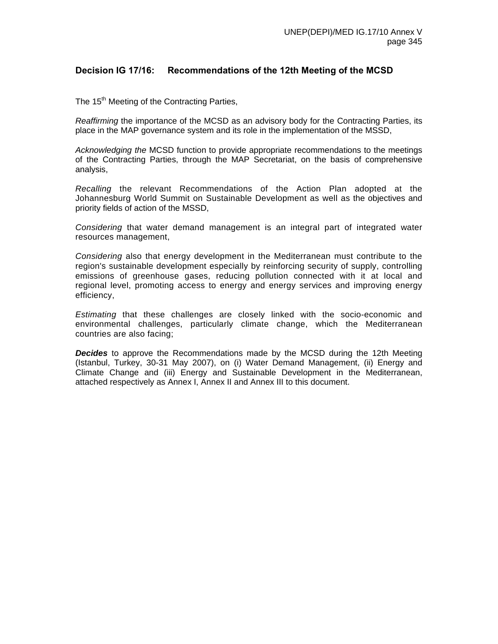# **Decision IG 17/16: Recommendations of the 12th Meeting of the MCSD**

The 15<sup>th</sup> Meeting of the Contracting Parties,

*Reaffirming* the importance of the MCSD as an advisory body for the Contracting Parties, its place in the MAP governance system and its role in the implementation of the MSSD,

*Acknowledging the* MCSD function to provide appropriate recommendations to the meetings of the Contracting Parties, through the MAP Secretariat, on the basis of comprehensive analysis,

*Recalling* the relevant Recommendations of the Action Plan adopted at the Johannesburg World Summit on Sustainable Development as well as the objectives and priority fields of action of the MSSD,

*Considering* that water demand management is an integral part of integrated water resources management,

*Considering* also that energy development in the Mediterranean must contribute to the region's sustainable development especially by reinforcing security of supply, controlling emissions of greenhouse gases, reducing pollution connected with it at local and regional level, promoting access to energy and energy services and improving energy efficiency,

*Estimating* that these challenges are closely linked with the socio-economic and environmental challenges, particularly climate change, which the Mediterranean countries are also facing;

*Decides* to approve the Recommendations made by the MCSD during the 12th Meeting (Istanbul, Turkey, 30-31 May 2007), on (i) Water Demand Management, (ii) Energy and Climate Change and (iii) Energy and Sustainable Development in the Mediterranean, attached respectively as Annex I, Annex II and Annex III to this document.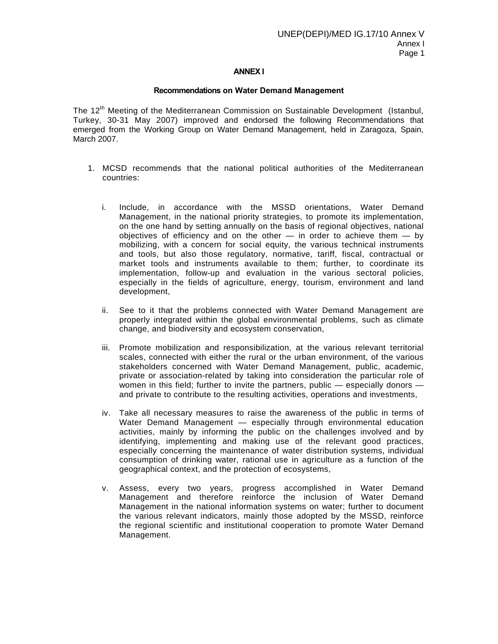## **ANNEX I**

#### **Recommendations on Water Demand Management**

The 12<sup>th</sup> Meeting of the Mediterranean Commission on Sustainable Development (Istanbul, Turkey, 30-31 May 2007) improved and endorsed the following Recommendations that emerged from the Working Group on Water Demand Management, held in Zaragoza, Spain, March 2007.

- 1. MCSD recommends that the national political authorities of the Mediterranean countries:
	- i. Include, in accordance with the MSSD orientations, Water Demand Management, in the national priority strategies, to promote its implementation, on the one hand by setting annually on the basis of regional objectives, national objectives of efficiency and on the other — in order to achieve them — by mobilizing, with a concern for social equity, the various technical instruments and tools, but also those regulatory, normative, tariff, fiscal, contractual or market tools and instruments available to them; further, to coordinate its implementation, follow-up and evaluation in the various sectoral policies, especially in the fields of agriculture, energy, tourism, environment and land development,
	- ii. See to it that the problems connected with Water Demand Management are properly integrated within the global environmental problems, such as climate change, and biodiversity and ecosystem conservation,
	- iii. Promote mobilization and responsibilization, at the various relevant territorial scales, connected with either the rural or the urban environment, of the various stakeholders concerned with Water Demand Management, public, academic, private or association-related by taking into consideration the particular role of women in this field; further to invite the partners, public — especially donors and private to contribute to the resulting activities, operations and investments,
	- iv. Take all necessary measures to raise the awareness of the public in terms of Water Demand Management — especially through environmental education activities, mainly by informing the public on the challenges involved and by identifying, implementing and making use of the relevant good practices, especially concerning the maintenance of water distribution systems, individual consumption of drinking water, rational use in agriculture as a function of the geographical context, and the protection of ecosystems,
	- v. Assess, every two years, progress accomplished in Water Demand Management and therefore reinforce the inclusion of Water Demand Management in the national information systems on water; further to document the various relevant indicators, mainly those adopted by the MSSD, reinforce the regional scientific and institutional cooperation to promote Water Demand Management.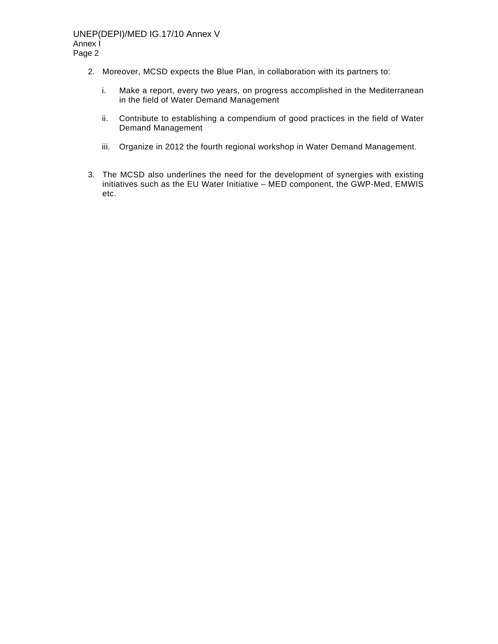- 2. Moreover, MCSD expects the Blue Plan, in collaboration with its partners to:
	- i. Make a report, every two years, on progress accomplished in the Mediterranean in the field of Water Demand Management
	- ii. Contribute to establishing a compendium of good practices in the field of Water Demand Management
	- iii. Organize in 2012 the fourth regional workshop in Water Demand Management.
- 3. The MCSD also underlines the need for the development of synergies with existing initiatives such as the EU Water Initiative – MED component, the GWP-Med, EMWIS etc.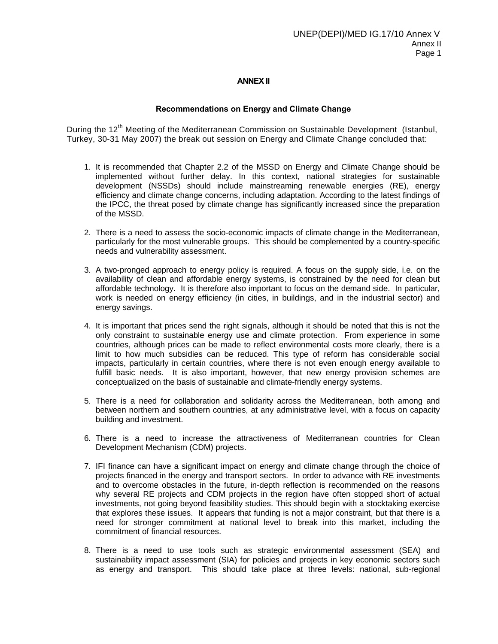## **ANNEX II**

### **Recommendations on Energy and Climate Change**

During the 12<sup>th</sup> Meeting of the Mediterranean Commission on Sustainable Development (Istanbul, Turkey, 30-31 May 2007) the break out session on Energy and Climate Change concluded that:

- 1. It is recommended that Chapter 2.2 of the MSSD on Energy and Climate Change should be implemented without further delay. In this context, national strategies for sustainable development (NSSDs) should include mainstreaming renewable energies (RE), energy efficiency and climate change concerns, including adaptation. According to the latest findings of the IPCC, the threat posed by climate change has significantly increased since the preparation of the MSSD.
- 2. There is a need to assess the socio-economic impacts of climate change in the Mediterranean, particularly for the most vulnerable groups. This should be complemented by a country-specific needs and vulnerability assessment.
- 3. A two-pronged approach to energy policy is required. A focus on the supply side, i.e. on the availability of clean and affordable energy systems, is constrained by the need for clean but affordable technology. It is therefore also important to focus on the demand side. In particular, work is needed on energy efficiency (in cities, in buildings, and in the industrial sector) and energy savings.
- 4. It is important that prices send the right signals, although it should be noted that this is not the only constraint to sustainable energy use and climate protection. From experience in some countries, although prices can be made to reflect environmental costs more clearly, there is a limit to how much subsidies can be reduced. This type of reform has considerable social impacts, particularly in certain countries, where there is not even enough energy available to fulfill basic needs. It is also important, however, that new energy provision schemes are conceptualized on the basis of sustainable and climate-friendly energy systems.
- 5. There is a need for collaboration and solidarity across the Mediterranean, both among and between northern and southern countries, at any administrative level, with a focus on capacity building and investment.
- 6. There is a need to increase the attractiveness of Mediterranean countries for Clean Development Mechanism (CDM) projects.
- 7. IFI finance can have a significant impact on energy and climate change through the choice of projects financed in the energy and transport sectors. In order to advance with RE investments and to overcome obstacles in the future, in-depth reflection is recommended on the reasons why several RE projects and CDM projects in the region have often stopped short of actual investments, not going beyond feasibility studies. This should begin with a stocktaking exercise that explores these issues. It appears that funding is not a major constraint, but that there is a need for stronger commitment at national level to break into this market, including the commitment of financial resources.
- 8. There is a need to use tools such as strategic environmental assessment (SEA) and sustainability impact assessment (SIA) for policies and projects in key economic sectors such as energy and transport. This should take place at three levels: national, sub-regional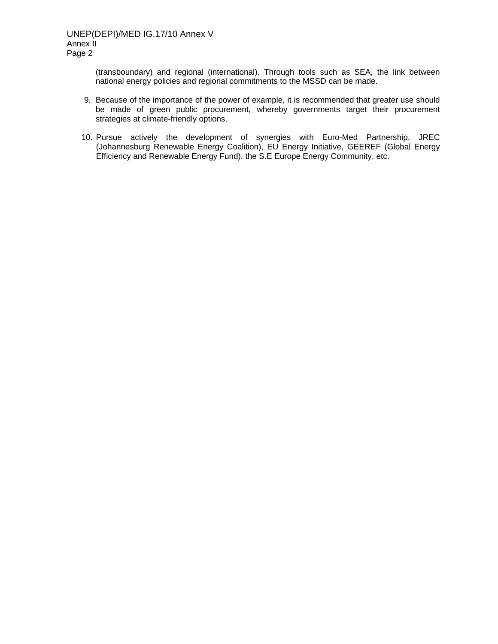(transboundary) and regional (international). Through tools such as SEA, the link between national energy policies and regional commitments to the MSSD can be made.

- 9. Because of the importance of the power of example, it is recommended that greater use should be made of green public procurement, whereby governments target their procurement strategies at climate-friendly options.
- 10. Pursue actively the development of synergies with Euro-Med Partnership, JREC (Johannesburg Renewable Energy Coalition), EU Energy Initiative, GEEREF (Global Energy Efficiency and Renewable Energy Fund), the S.E Europe Energy Community, etc.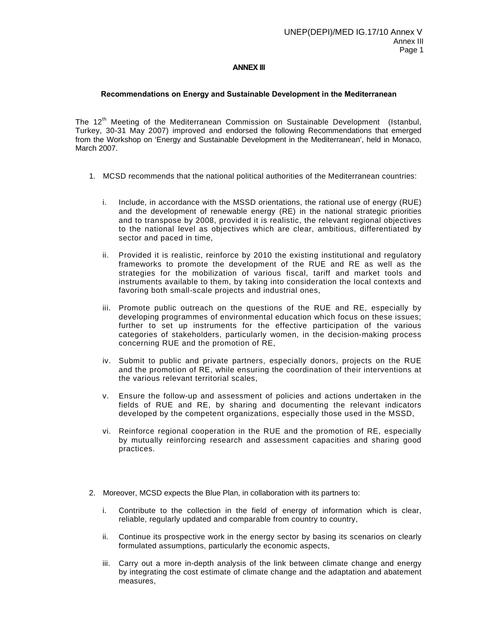#### **ANNEX III**

#### **Recommendations on Energy and Sustainable Development in the Mediterranean**

The 12<sup>th</sup> Meeting of the Mediterranean Commission on Sustainable Development (Istanbul, Turkey, 30-31 May 2007) improved and endorsed the following Recommendations that emerged from the Workshop on 'Energy and Sustainable Development in the Mediterranean', held in Monaco, March 2007.

- 1. MCSD recommends that the national political authorities of the Mediterranean countries:
	- i. Include, in accordance with the MSSD orientations, the rational use of energy (RUE) and the development of renewable energy (RE) in the national strategic priorities and to transpose by 2008, provided it is realistic, the relevant regional objectives to the national level as objectives which are clear, ambitious, differentiated by sector and paced in time,
	- ii. Provided it is realistic, reinforce by 2010 the existing institutional and regulatory frameworks to promote the development of the RUE and RE as well as the strategies for the mobilization of various fiscal, tariff and market tools and instruments available to them, by taking into consideration the local contexts and favoring both small-scale projects and industrial ones,
	- iii. Promote public outreach on the questions of the RUE and RE, especially by developing programmes of environmental education which focus on these issues; further to set up instruments for the effective participation of the various categories of stakeholders, particularly women, in the decision-making process concerning RUE and the promotion of RE,
	- iv. Submit to public and private partners, especially donors, projects on the RUE and the promotion of RE, while ensuring the coordination of their interventions at the various relevant territorial scales,
	- v. Ensure the follow-up and assessment of policies and actions undertaken in the fields of RUE and RE, by sharing and documenting the relevant indicators developed by the competent organizations, especially those used in the MSSD,
	- vi. Reinforce regional cooperation in the RUE and the promotion of RE, especially by mutually reinforcing research and assessment capacities and sharing good practices.
- 2. Moreover, MCSD expects the Blue Plan, in collaboration with its partners to:
	- i. Contribute to the collection in the field of energy of information which is clear, reliable, regularly updated and comparable from country to country,
	- ii. Continue its prospective work in the energy sector by basing its scenarios on clearly formulated assumptions, particularly the economic aspects,
	- iii. Carry out a more in-depth analysis of the link between climate change and energy by integrating the cost estimate of climate change and the adaptation and abatement measures,